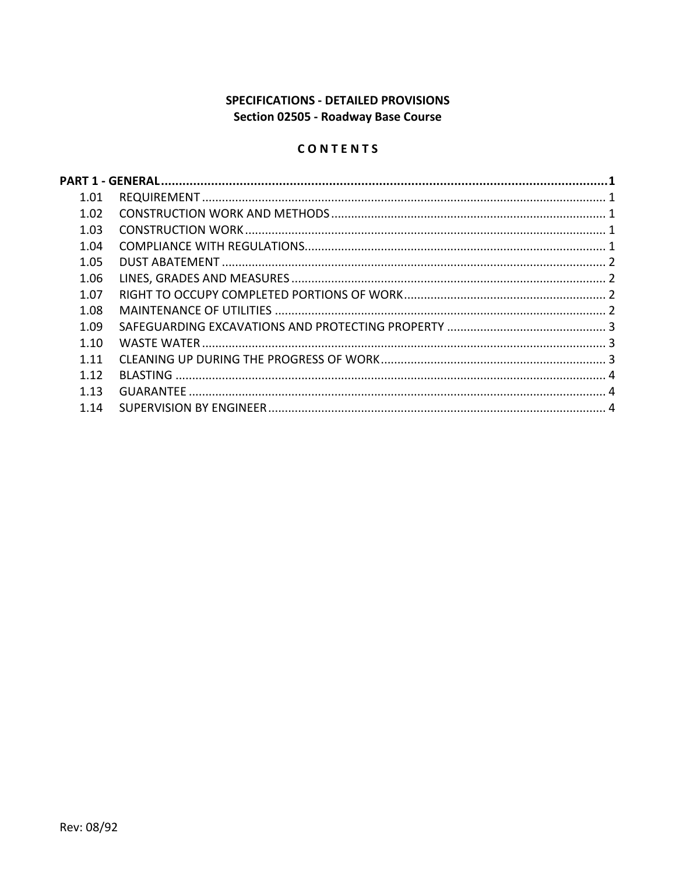# SPECIFICATIONS - DETAILED PROVISIONS Section 02505 - Roadway Base Course

# CONTENTS

| 1.01 |  |
|------|--|
| 1.02 |  |
| 1.03 |  |
| 1.04 |  |
| 1.05 |  |
| 1.06 |  |
| 1.07 |  |
| 1.08 |  |
| 1.09 |  |
| 1.10 |  |
| 1.11 |  |
| 1.12 |  |
| 1.13 |  |
| 1.14 |  |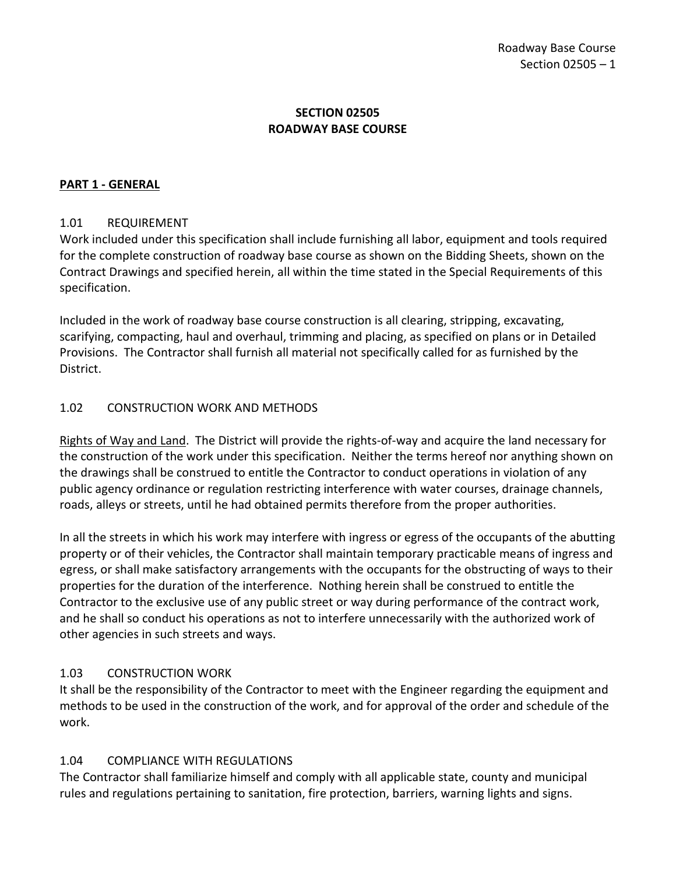## **SECTION 02505 ROADWAY BASE COURSE**

#### <span id="page-2-0"></span>**PART 1 - GENERAL**

#### <span id="page-2-1"></span>1.01 REQUIREMENT

Work included under this specification shall include furnishing all labor, equipment and tools required for the complete construction of roadway base course as shown on the Bidding Sheets, shown on the Contract Drawings and specified herein, all within the time stated in the Special Requirements of this specification.

Included in the work of roadway base course construction is all clearing, stripping, excavating, scarifying, compacting, haul and overhaul, trimming and placing, as specified on plans or in Detailed Provisions. The Contractor shall furnish all material not specifically called for as furnished by the District.

#### <span id="page-2-2"></span>1.02 CONSTRUCTION WORK AND METHODS

Rights of Way and Land. The District will provide the rights-of-way and acquire the land necessary for the construction of the work under this specification. Neither the terms hereof nor anything shown on the drawings shall be construed to entitle the Contractor to conduct operations in violation of any public agency ordinance or regulation restricting interference with water courses, drainage channels, roads, alleys or streets, until he had obtained permits therefore from the proper authorities.

In all the streets in which his work may interfere with ingress or egress of the occupants of the abutting property or of their vehicles, the Contractor shall maintain temporary practicable means of ingress and egress, or shall make satisfactory arrangements with the occupants for the obstructing of ways to their properties for the duration of the interference. Nothing herein shall be construed to entitle the Contractor to the exclusive use of any public street or way during performance of the contract work, and he shall so conduct his operations as not to interfere unnecessarily with the authorized work of other agencies in such streets and ways.

## <span id="page-2-3"></span>1.03 CONSTRUCTION WORK

It shall be the responsibility of the Contractor to meet with the Engineer regarding the equipment and methods to be used in the construction of the work, and for approval of the order and schedule of the work.

## <span id="page-2-4"></span>1.04 COMPLIANCE WITH REGULATIONS

The Contractor shall familiarize himself and comply with all applicable state, county and municipal rules and regulations pertaining to sanitation, fire protection, barriers, warning lights and signs.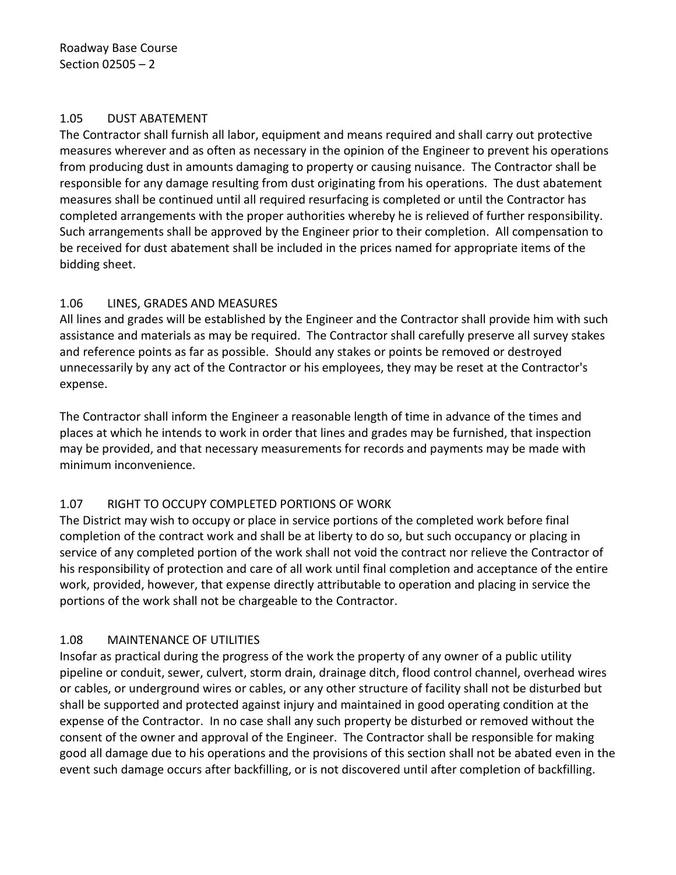#### <span id="page-3-0"></span>1.05 DUST ABATEMENT

The Contractor shall furnish all labor, equipment and means required and shall carry out protective measures wherever and as often as necessary in the opinion of the Engineer to prevent his operations from producing dust in amounts damaging to property or causing nuisance. The Contractor shall be responsible for any damage resulting from dust originating from his operations. The dust abatement measures shall be continued until all required resurfacing is completed or until the Contractor has completed arrangements with the proper authorities whereby he is relieved of further responsibility. Such arrangements shall be approved by the Engineer prior to their completion. All compensation to be received for dust abatement shall be included in the prices named for appropriate items of the bidding sheet.

## <span id="page-3-1"></span>1.06 LINES, GRADES AND MEASURES

All lines and grades will be established by the Engineer and the Contractor shall provide him with such assistance and materials as may be required. The Contractor shall carefully preserve all survey stakes and reference points as far as possible. Should any stakes or points be removed or destroyed unnecessarily by any act of the Contractor or his employees, they may be reset at the Contractor's expense.

The Contractor shall inform the Engineer a reasonable length of time in advance of the times and places at which he intends to work in order that lines and grades may be furnished, that inspection may be provided, and that necessary measurements for records and payments may be made with minimum inconvenience.

## <span id="page-3-2"></span>1.07 RIGHT TO OCCUPY COMPLETED PORTIONS OF WORK

The District may wish to occupy or place in service portions of the completed work before final completion of the contract work and shall be at liberty to do so, but such occupancy or placing in service of any completed portion of the work shall not void the contract nor relieve the Contractor of his responsibility of protection and care of all work until final completion and acceptance of the entire work, provided, however, that expense directly attributable to operation and placing in service the portions of the work shall not be chargeable to the Contractor.

## <span id="page-3-3"></span>1.08 MAINTENANCE OF UTILITIES

Insofar as practical during the progress of the work the property of any owner of a public utility pipeline or conduit, sewer, culvert, storm drain, drainage ditch, flood control channel, overhead wires or cables, or underground wires or cables, or any other structure of facility shall not be disturbed but shall be supported and protected against injury and maintained in good operating condition at the expense of the Contractor. In no case shall any such property be disturbed or removed without the consent of the owner and approval of the Engineer. The Contractor shall be responsible for making good all damage due to his operations and the provisions of this section shall not be abated even in the event such damage occurs after backfilling, or is not discovered until after completion of backfilling.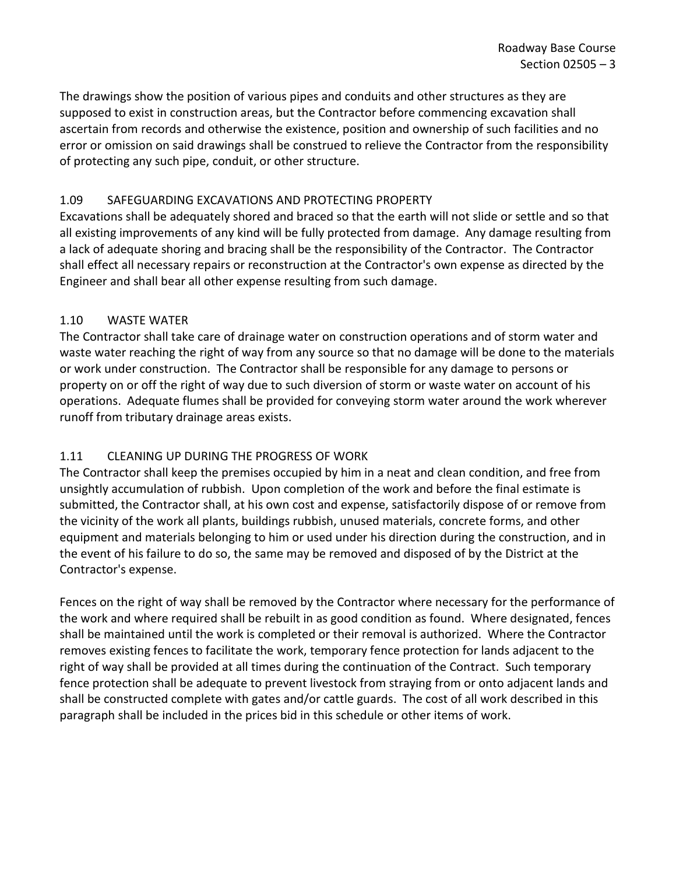The drawings show the position of various pipes and conduits and other structures as they are supposed to exist in construction areas, but the Contractor before commencing excavation shall ascertain from records and otherwise the existence, position and ownership of such facilities and no error or omission on said drawings shall be construed to relieve the Contractor from the responsibility of protecting any such pipe, conduit, or other structure.

## <span id="page-4-0"></span>1.09 SAFEGUARDING EXCAVATIONS AND PROTECTING PROPERTY

Excavations shall be adequately shored and braced so that the earth will not slide or settle and so that all existing improvements of any kind will be fully protected from damage. Any damage resulting from a lack of adequate shoring and bracing shall be the responsibility of the Contractor. The Contractor shall effect all necessary repairs or reconstruction at the Contractor's own expense as directed by the Engineer and shall bear all other expense resulting from such damage.

## <span id="page-4-1"></span>1.10 WASTE WATER

The Contractor shall take care of drainage water on construction operations and of storm water and waste water reaching the right of way from any source so that no damage will be done to the materials or work under construction. The Contractor shall be responsible for any damage to persons or property on or off the right of way due to such diversion of storm or waste water on account of his operations. Adequate flumes shall be provided for conveying storm water around the work wherever runoff from tributary drainage areas exists.

# <span id="page-4-2"></span>1.11 CLEANING UP DURING THE PROGRESS OF WORK

The Contractor shall keep the premises occupied by him in a neat and clean condition, and free from unsightly accumulation of rubbish. Upon completion of the work and before the final estimate is submitted, the Contractor shall, at his own cost and expense, satisfactorily dispose of or remove from the vicinity of the work all plants, buildings rubbish, unused materials, concrete forms, and other equipment and materials belonging to him or used under his direction during the construction, and in the event of his failure to do so, the same may be removed and disposed of by the District at the Contractor's expense.

Fences on the right of way shall be removed by the Contractor where necessary for the performance of the work and where required shall be rebuilt in as good condition as found. Where designated, fences shall be maintained until the work is completed or their removal is authorized. Where the Contractor removes existing fences to facilitate the work, temporary fence protection for lands adjacent to the right of way shall be provided at all times during the continuation of the Contract. Such temporary fence protection shall be adequate to prevent livestock from straying from or onto adjacent lands and shall be constructed complete with gates and/or cattle guards. The cost of all work described in this paragraph shall be included in the prices bid in this schedule or other items of work.